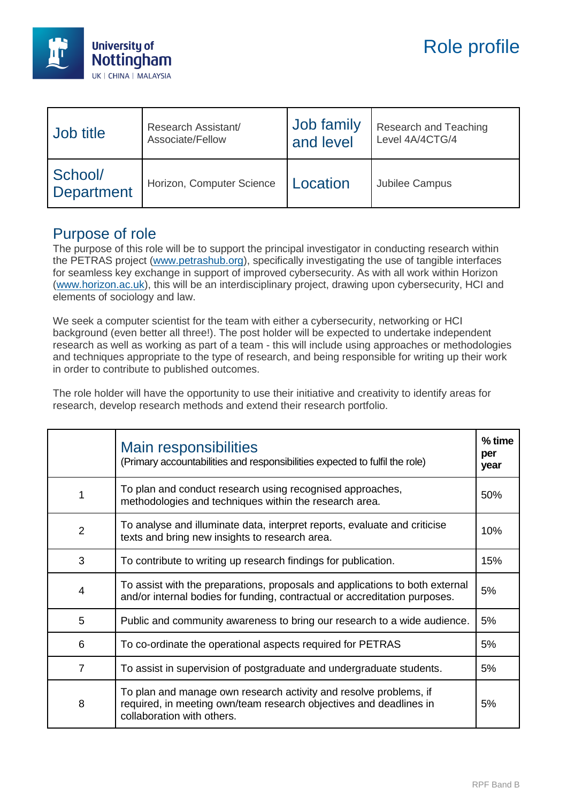

| Job title             | Research Assistant/       | Job family | <b>Research and Teaching</b> |
|-----------------------|---------------------------|------------|------------------------------|
|                       | Associate/Fellow          | and level  | Level 4A/4CTG/4              |
| School/<br>Department | Horizon, Computer Science | Location   | Jubilee Campus               |

## Purpose of role

The purpose of this role will be to support the principal investigator in conducting research within the PETRAS project (www.petrashub.org), specifically investigating the use of tangible interfaces for seamless key exchange in support of improved cybersecurity. As with all work within Horizon (www.horizon.ac.uk), this will be an interdisciplinary project, drawing upon cybersecurity, HCI and elements of sociology and law.

We seek a computer scientist for the team with either a cybersecurity, networking or HCI background (even better all three!). The post holder will be expected to undertake independent research as well as working as part of a team - this will include using approaches or methodologies and techniques appropriate to the type of research, and being responsible for writing up their work in order to contribute to published outcomes.

The role holder will have the opportunity to use their initiative and creativity to identify areas for research, develop research methods and extend their research portfolio.

|                | Main responsibilities<br>(Primary accountabilities and responsibilities expected to fulfil the role)                                                                  | $%$ time<br>per<br>year |
|----------------|-----------------------------------------------------------------------------------------------------------------------------------------------------------------------|-------------------------|
| 1              | To plan and conduct research using recognised approaches,<br>methodologies and techniques within the research area.                                                   | 50%                     |
| $\overline{2}$ | To analyse and illuminate data, interpret reports, evaluate and criticise<br>texts and bring new insights to research area.                                           | 10%                     |
| 3              | To contribute to writing up research findings for publication.                                                                                                        | 15%                     |
| $\overline{4}$ | To assist with the preparations, proposals and applications to both external<br>and/or internal bodies for funding, contractual or accreditation purposes.            | 5%                      |
| 5              | Public and community awareness to bring our research to a wide audience.                                                                                              | 5%                      |
| 6              | To co-ordinate the operational aspects required for PETRAS                                                                                                            | 5%                      |
| $\overline{7}$ | To assist in supervision of postgraduate and undergraduate students.                                                                                                  | 5%                      |
| 8              | To plan and manage own research activity and resolve problems, if<br>required, in meeting own/team research objectives and deadlines in<br>collaboration with others. | 5%                      |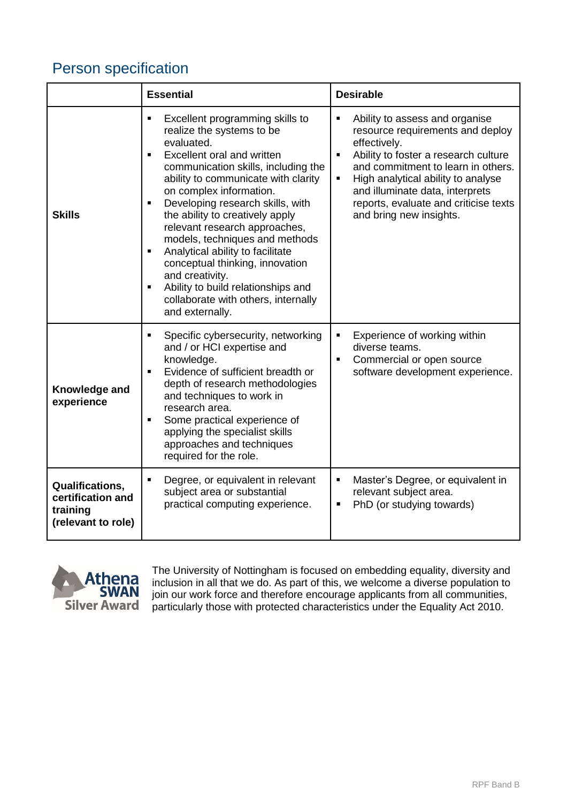## Person specification

|                                                                               | <b>Essential</b>                                                                                                                                                                                                                                                                                                                                                                                                                                                                                                                                                                                         | <b>Desirable</b>                                                                                                                                                                                                                                                                                                                          |  |
|-------------------------------------------------------------------------------|----------------------------------------------------------------------------------------------------------------------------------------------------------------------------------------------------------------------------------------------------------------------------------------------------------------------------------------------------------------------------------------------------------------------------------------------------------------------------------------------------------------------------------------------------------------------------------------------------------|-------------------------------------------------------------------------------------------------------------------------------------------------------------------------------------------------------------------------------------------------------------------------------------------------------------------------------------------|--|
| <b>Skills</b>                                                                 | Excellent programming skills to<br>٠<br>realize the systems to be<br>evaluated.<br>Excellent oral and written<br>٠<br>communication skills, including the<br>ability to communicate with clarity<br>on complex information.<br>Developing research skills, with<br>٠<br>the ability to creatively apply<br>relevant research approaches,<br>models, techniques and methods<br>Analytical ability to facilitate<br>$\blacksquare$<br>conceptual thinking, innovation<br>and creativity.<br>Ability to build relationships and<br>$\blacksquare$<br>collaborate with others, internally<br>and externally. | Ability to assess and organise<br>$\blacksquare$<br>resource requirements and deploy<br>effectively.<br>Ability to foster a research culture<br>٠<br>and commitment to learn in others.<br>High analytical ability to analyse<br>٠<br>and illuminate data, interprets<br>reports, evaluate and criticise texts<br>and bring new insights. |  |
| Knowledge and<br>experience                                                   | Specific cybersecurity, networking<br>$\blacksquare$<br>and / or HCI expertise and<br>knowledge.<br>Evidence of sufficient breadth or<br>$\blacksquare$<br>depth of research methodologies<br>and techniques to work in<br>research area.<br>Some practical experience of<br>٠<br>applying the specialist skills<br>approaches and techniques<br>required for the role.                                                                                                                                                                                                                                  | Experience of working within<br>diverse teams.<br>Commercial or open source<br>$\blacksquare$<br>software development experience.                                                                                                                                                                                                         |  |
| <b>Qualifications,</b><br>certification and<br>training<br>(relevant to role) | Degree, or equivalent in relevant<br>٠<br>subject area or substantial<br>practical computing experience.                                                                                                                                                                                                                                                                                                                                                                                                                                                                                                 | Master's Degree, or equivalent in<br>٠<br>relevant subject area.<br>PhD (or studying towards)<br>п                                                                                                                                                                                                                                        |  |



The University of Nottingham is focused on embedding equality, diversity and inclusion in all that we do. As part of this, we welcome a diverse population to join our work force and therefore encourage applicants from all communities, particularly those with protected characteristics under the Equality Act 2010.